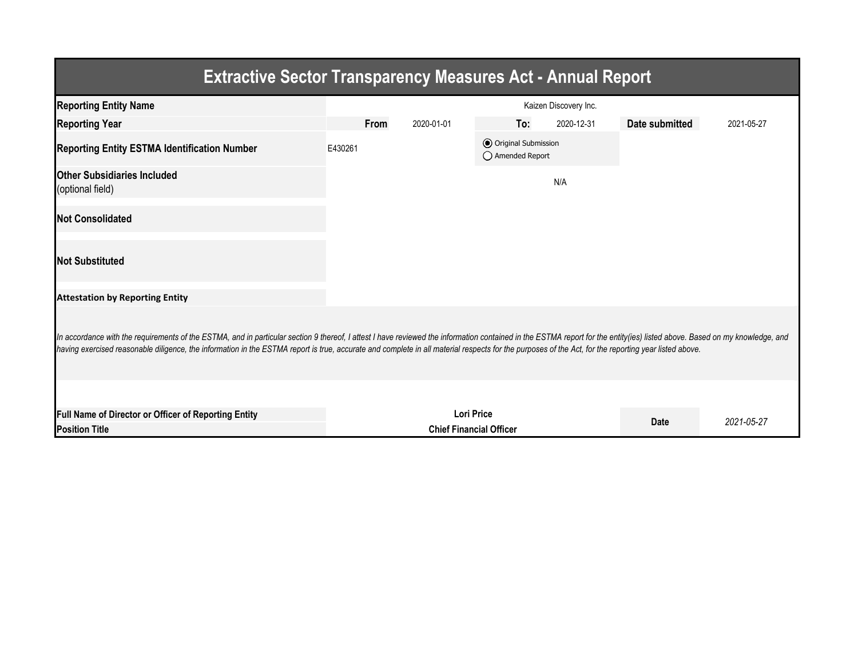| <b>Extractive Sector Transparency Measures Act - Annual Report</b>                                                                                                                                                                                                                                                                                                                                                                 |                       |             |                                |                                           |             |                |            |  |  |  |
|------------------------------------------------------------------------------------------------------------------------------------------------------------------------------------------------------------------------------------------------------------------------------------------------------------------------------------------------------------------------------------------------------------------------------------|-----------------------|-------------|--------------------------------|-------------------------------------------|-------------|----------------|------------|--|--|--|
| <b>Reporting Entity Name</b>                                                                                                                                                                                                                                                                                                                                                                                                       | Kaizen Discovery Inc. |             |                                |                                           |             |                |            |  |  |  |
| <b>Reporting Year</b>                                                                                                                                                                                                                                                                                                                                                                                                              |                       | <b>From</b> | 2020-01-01                     | To:                                       | 2020-12-31  | Date submitted | 2021-05-27 |  |  |  |
| <b>Reporting Entity ESTMA Identification Number</b>                                                                                                                                                                                                                                                                                                                                                                                | E430261               |             |                                | O Original Submission<br>◯ Amended Report |             |                |            |  |  |  |
| <b>Other Subsidiaries Included</b><br>(optional field)                                                                                                                                                                                                                                                                                                                                                                             |                       |             |                                |                                           | N/A         |                |            |  |  |  |
| <b>Not Consolidated</b>                                                                                                                                                                                                                                                                                                                                                                                                            |                       |             |                                |                                           |             |                |            |  |  |  |
| <b>Not Substituted</b>                                                                                                                                                                                                                                                                                                                                                                                                             |                       |             |                                |                                           |             |                |            |  |  |  |
| <b>Attestation by Reporting Entity</b>                                                                                                                                                                                                                                                                                                                                                                                             |                       |             |                                |                                           |             |                |            |  |  |  |
| In accordance with the requirements of the ESTMA, and in particular section 9 thereof, I attest I have reviewed the information contained in the ESTMA report for the entity(ies) listed above. Based on my knowledge, and<br>having exercised reasonable diligence, the information in the ESTMA report is true, accurate and complete in all material respects for the purposes of the Act, for the reporting year listed above. |                       |             |                                |                                           |             |                |            |  |  |  |
|                                                                                                                                                                                                                                                                                                                                                                                                                                    |                       |             |                                |                                           |             |                |            |  |  |  |
| Full Name of Director or Officer of Reporting Entity                                                                                                                                                                                                                                                                                                                                                                               |                       |             | <b>Lori Price</b>              |                                           | <b>Date</b> | 2021-05-27     |            |  |  |  |
| <b>Position Title</b>                                                                                                                                                                                                                                                                                                                                                                                                              |                       |             | <b>Chief Financial Officer</b> |                                           |             |                |            |  |  |  |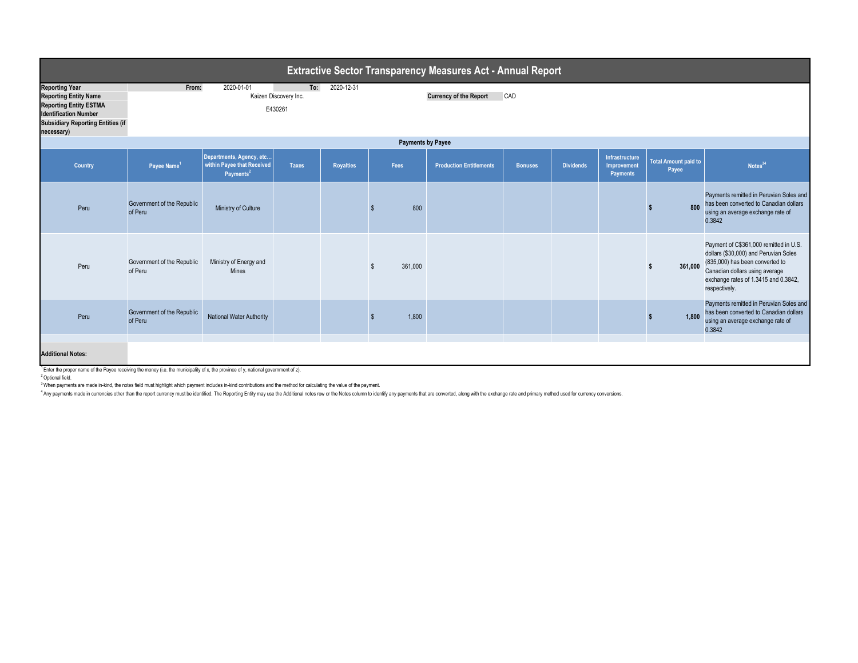| <b>Extractive Sector Transparency Measures Act - Annual Report</b>                                                                                                               |                                                                                                                      |                                                                                 |              |                  |         |                                |                |                  |                                           |                                      |                                                                                                                                                                                                               |
|----------------------------------------------------------------------------------------------------------------------------------------------------------------------------------|----------------------------------------------------------------------------------------------------------------------|---------------------------------------------------------------------------------|--------------|------------------|---------|--------------------------------|----------------|------------------|-------------------------------------------|--------------------------------------|---------------------------------------------------------------------------------------------------------------------------------------------------------------------------------------------------------------|
| <b>Reporting Year</b><br><b>Reporting Entity Name</b><br><b>Reporting Entity ESTMA</b><br><b>Identification Number</b><br><b>Subsidiary Reporting Entities (if</b><br>necessary) | 2020-01-01<br>2020-12-31<br>From:<br>To:<br>Kaizen Discovery Inc.<br>CAD<br><b>Currency of the Report</b><br>E430261 |                                                                                 |              |                  |         |                                |                |                  |                                           |                                      |                                                                                                                                                                                                               |
| <b>Payments by Payee</b>                                                                                                                                                         |                                                                                                                      |                                                                                 |              |                  |         |                                |                |                  |                                           |                                      |                                                                                                                                                                                                               |
| Country                                                                                                                                                                          | Payee Name <sup>1</sup>                                                                                              | Departments, Agency, etc<br>within Payee that Received<br>Payments <sup>2</sup> | <b>Taxes</b> | <b>Royalties</b> | Fees    | <b>Production Entitlements</b> | <b>Bonuses</b> | <b>Dividends</b> | Infrastructure<br>Improvement<br>Payments | <b>Total Amount paid to</b><br>Payee | Notes <sup>34</sup>                                                                                                                                                                                           |
| Peru                                                                                                                                                                             | Government of the Republic<br>of Peru                                                                                | Ministry of Culture                                                             |              |                  | 800     |                                |                |                  |                                           | 800                                  | Payments remitted in Peruvian Soles and<br>has been converted to Canadian dollars<br>using an average exchange rate of<br>0.3842                                                                              |
| Peru                                                                                                                                                                             | Government of the Republic<br>of Peru                                                                                | Ministry of Energy and<br><b>Mines</b>                                          |              |                  | 361,000 |                                |                |                  |                                           | 361.000                              | Payment of C\$361,000 remitted in U.S.<br>dollars (\$30,000) and Peruvian Soles<br>(835,000) has been converted to<br>Canadian dollars using average<br>exchange rates of 1.3415 and 0.3842,<br>respectively. |
| Peru                                                                                                                                                                             | Government of the Republic<br>of Peru                                                                                | <b>National Water Authority</b>                                                 |              |                  | 1,800   |                                |                |                  |                                           | 1.800                                | Payments remitted in Peruvian Soles and<br>has been converted to Canadian dollars<br>using an average exchange rate of<br>0.3842                                                                              |
|                                                                                                                                                                                  |                                                                                                                      |                                                                                 |              |                  |         |                                |                |                  |                                           |                                      |                                                                                                                                                                                                               |
| <b>Additional Notes:</b><br><sup>1</sup> Enter the proper name of the Payee receiving the money (i.e. the municipality of x, the province of y, national government of z).       |                                                                                                                      |                                                                                 |              |                  |         |                                |                |                  |                                           |                                      |                                                                                                                                                                                                               |

2 Optional field.

<sup>3</sup> When payments are made in-kind, the notes field must highlight which payment includes in-kind contributions and the method for calculating the value of the payment.

4 Any payments made in currencies other than the report currency must be identified. The Reporting Entity may use the Additional notes row or the Notes column to identify any payments that are converted, along with the exc